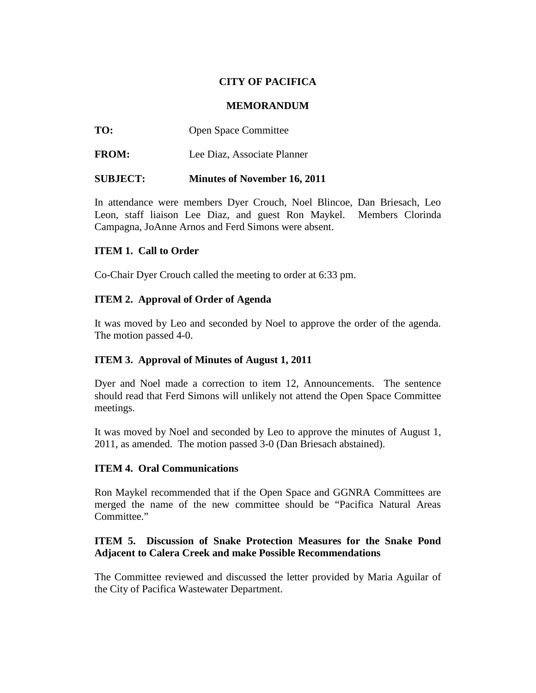# **CITY OF PACIFICA**

#### **MEMORANDUM**

**TO:** Open Space Committee

**FROM:** Lee Diaz, Associate Planner

### **SUBJECT: Minutes of November 16, 2011**

In attendance were members Dyer Crouch, Noel Blincoe, Dan Briesach, Leo Leon, staff liaison Lee Diaz, and guest Ron Maykel. Members Clorinda Campagna, JoAnne Arnos and Ferd Simons were absent.

### **ITEM 1. Call to Order**

Co-Chair Dyer Crouch called the meeting to order at 6:33 pm.

### **ITEM 2. Approval of Order of Agenda**

It was moved by Leo and seconded by Noel to approve the order of the agenda. The motion passed 4-0.

### **ITEM 3. Approval of Minutes of August 1, 2011**

Dyer and Noel made a correction to item 12, Announcements. The sentence should read that Ferd Simons will unlikely not attend the Open Space Committee meetings.

It was moved by Noel and seconded by Leo to approve the minutes of August 1, 2011, as amended. The motion passed 3-0 (Dan Briesach abstained).

### **ITEM 4. Oral Communications**

Ron Maykel recommended that if the Open Space and GGNRA Committees are merged the name of the new committee should be "Pacifica Natural Areas Committee."

# **ITEM 5. Discussion of Snake Protection Measures for the Snake Pond Adjacent to Calera Creek and make Possible Recommendations**

The Committee reviewed and discussed the letter provided by Maria Aguilar of the City of Pacifica Wastewater Department.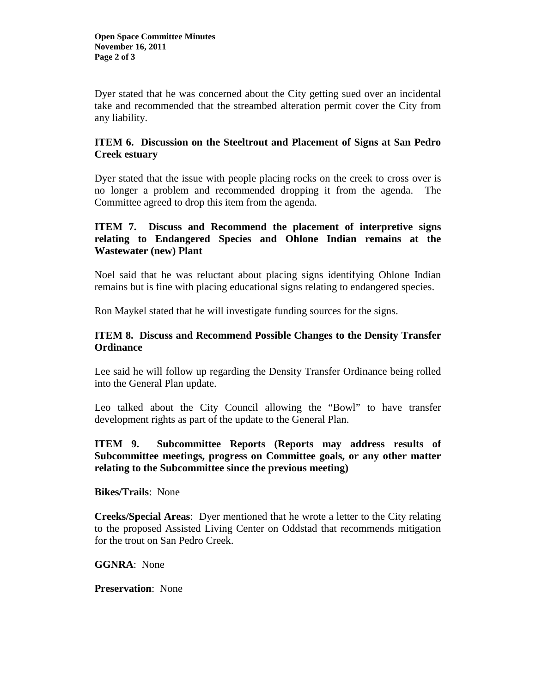Dyer stated that he was concerned about the City getting sued over an incidental take and recommended that the streambed alteration permit cover the City from any liability.

### **ITEM 6. Discussion on the Steeltrout and Placement of Signs at San Pedro Creek estuary**

Dyer stated that the issue with people placing rocks on the creek to cross over is no longer a problem and recommended dropping it from the agenda. The Committee agreed to drop this item from the agenda.

# **ITEM 7. Discuss and Recommend the placement of interpretive signs relating to Endangered Species and Ohlone Indian remains at the Wastewater (new) Plant**

Noel said that he was reluctant about placing signs identifying Ohlone Indian remains but is fine with placing educational signs relating to endangered species.

Ron Maykel stated that he will investigate funding sources for the signs.

# **ITEM 8. Discuss and Recommend Possible Changes to the Density Transfer Ordinance**

Lee said he will follow up regarding the Density Transfer Ordinance being rolled into the General Plan update.

Leo talked about the City Council allowing the "Bowl" to have transfer development rights as part of the update to the General Plan.

# **ITEM 9. Subcommittee Reports (Reports may address results of Subcommittee meetings, progress on Committee goals, or any other matter relating to the Subcommittee since the previous meeting)**

**Bikes/Trails**: None

**Creeks/Special Areas**: Dyer mentioned that he wrote a letter to the City relating to the proposed Assisted Living Center on Oddstad that recommends mitigation for the trout on San Pedro Creek.

### **GGNRA**: None

**Preservation**: None